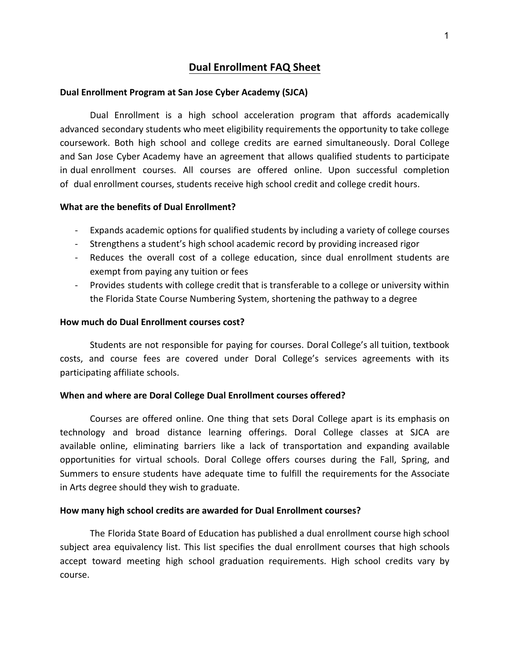## **Dual Enrollment FAQ Sheet**

#### **Dual Enrollment Program at San Jose Cyber Academy (SJCA)**

Dual Enrollment is a high school acceleration program that affords academically advanced secondary students who meet eligibility requirements the opportunity to take college coursework. Both high school and college credits are earned simultaneously. Doral College and San Jose Cyber Academy have an agreement that allows qualified students to participate in dual enrollment courses. All courses are offered online. Upon successful completion of dual enrollment courses, students receive high school credit and college credit hours.

#### **What are the benefits of Dual Enrollment?**

- Expands academic options for qualified students by including a variety of college courses
- Strengthens a student's high school academic record by providing increased rigor
- Reduces the overall cost of a college education, since dual enrollment students are exempt from paying any tuition or fees
- Provides students with college credit that is transferable to a college or university within the Florida State Course Numbering System, shortening the pathway to a degree

#### **How much do Dual Enrollment courses cost?**

Students are not responsible for paying for courses. Doral College's all tuition, textbook costs, and course fees are covered under Doral College's services agreements with its participating affiliate schools.

#### **When and where are Doral College Dual Enrollment courses offered?**

Courses are offered online. One thing that sets Doral College apart is its emphasis on technology and broad distance learning offerings. Doral College classes at SJCA are available online, eliminating barriers like a lack of transportation and expanding available opportunities for virtual schools. Doral College offers courses during the Fall, Spring, and Summers to ensure students have adequate time to fulfill the requirements for the Associate in Arts degree should they wish to graduate.

### **How many high school credits are awarded for Dual Enrollment courses?**

The Florida State Board of Education has published a dual enrollment course high school subject area equivalency list. This list specifies the dual enrollment courses that high schools accept toward meeting high school graduation requirements. High school credits vary by course.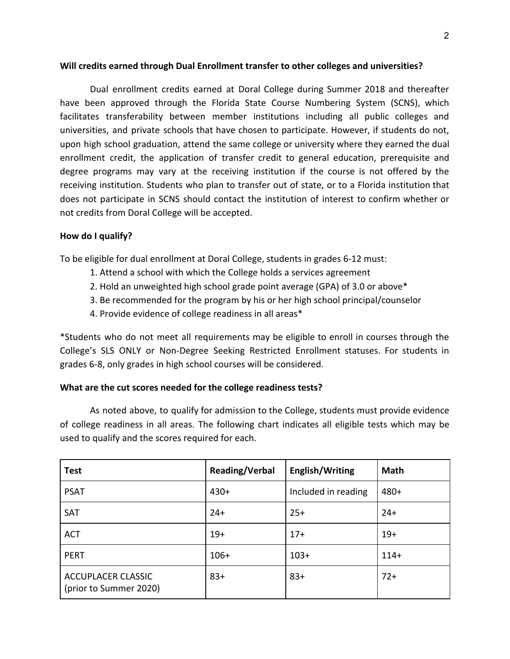### **Will credits earned through Dual Enrollment transfer to other colleges and universities?**

Dual enrollment credits earned at Doral College during Summer 2018 and thereafter have been approved through the Florida State Course Numbering System (SCNS), which facilitates transferability between member institutions including all public colleges and universities, and private schools that have chosen to participate. However, if students do not, upon high school graduation, attend the same college or university where they earned the dual enrollment credit, the application of transfer credit to general education, prerequisite and degree programs may vary at the receiving institution if the course is not offered by the receiving institution. Students who plan to transfer out of state, or to a Florida institution that does not participate in SCNS should contact the institution of interest to confirm whether or not credits from Doral College will be accepted.

### **How do I qualify?**

To be eligible for dual enrollment at Doral College, students in grades 6-12 must:

- 1. Attend a school with which the College holds a services agreement
- 2. Hold an unweighted high school grade point average (GPA) of 3.0 or above\*
- 3. Be recommended for the program by his or her high school principal/counselor
- 4. Provide evidence of college readiness in all areas\*

\*Students who do not meet all requirements may be eligible to enroll in courses through the College's SLS ONLY or Non-Degree Seeking Restricted Enrollment statuses. For students in grades 6-8, only grades in high school courses will be considered.

#### **What are the cut scores needed for the college readiness tests?**

As noted above, to qualify for admission to the College, students must provide evidence of college readiness in all areas. The following chart indicates all eligible tests which may be used to qualify and the scores required for each.

| <b>Test</b>                                         | Reading/Verbal | English/Writing     | <b>Math</b> |
|-----------------------------------------------------|----------------|---------------------|-------------|
| <b>PSAT</b>                                         | $430+$         | Included in reading | $480+$      |
| SAT                                                 | $24+$          | $25+$               | $24+$       |
| <b>ACT</b>                                          | $19+$          | $17+$               | $19+$       |
| <b>PERT</b>                                         | $106+$         | $103+$              | $114+$      |
| <b>ACCUPLACER CLASSIC</b><br>(prior to Summer 2020) | $83+$          | $83+$               | $72+$       |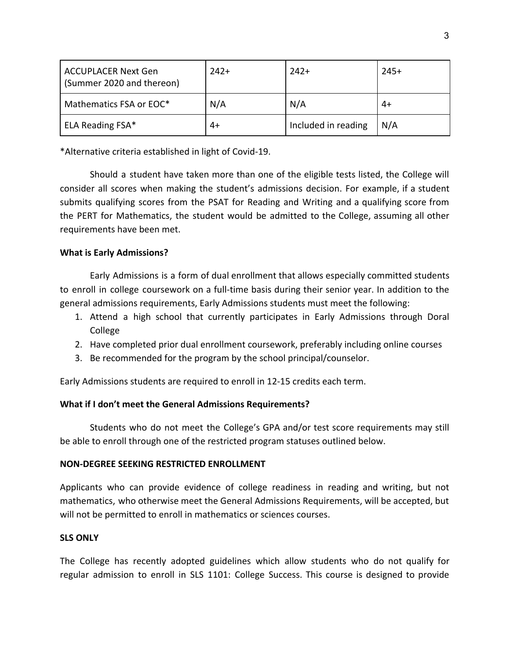| <b>ACCUPLACER Next Gen</b><br>(Summer 2020 and thereon) | $242+$ | $242+$              | $245+$ |
|---------------------------------------------------------|--------|---------------------|--------|
| Mathematics FSA or EOC*                                 | N/A    | N/A                 | 4+     |
| ELA Reading FSA*                                        | 4+     | Included in reading | N/A    |

\*Alternative criteria established in light of Covid-19.

Should a student have taken more than one of the eligible tests listed, the College will consider all scores when making the student's admissions decision. For example, if a student submits qualifying scores from the PSAT for Reading and Writing and a qualifying score from the PERT for Mathematics, the student would be admitted to the College, assuming all other requirements have been met.

### **What is Early Admissions?**

Early Admissions is a form of dual enrollment that allows especially committed students to enroll in college coursework on a full-time basis during their senior year. In addition to the general admissions requirements, Early Admissions students must meet the following:

- 1. Attend a high school that currently participates in Early Admissions through Doral College
- 2. Have completed prior dual enrollment coursework, preferably including online courses
- 3. Be recommended for the program by the school principal/counselor.

Early Admissions students are required to enroll in 12-15 credits each term.

## **What if I don't meet the General Admissions Requirements?**

Students who do not meet the College's GPA and/or test score requirements may still be able to enroll through one of the restricted program statuses outlined below.

## **NON-DEGREE SEEKING RESTRICTED ENROLLMENT**

Applicants who can provide evidence of college readiness in reading and writing, but not mathematics, who otherwise meet the General Admissions Requirements, will be accepted, but will not be permitted to enroll in mathematics or sciences courses.

### **SLS ONLY**

The College has recently adopted guidelines which allow students who do not qualify for regular admission to enroll in SLS 1101: College Success. This course is designed to provide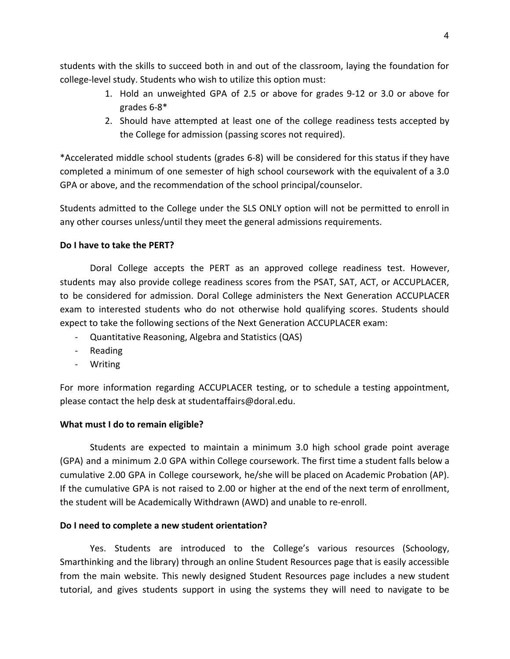students with the skills to succeed both in and out of the classroom, laying the foundation for college-level study. Students who wish to utilize this option must:

- 1. Hold an unweighted GPA of 2.5 or above for grades 9-12 or 3.0 or above for grades 6-8\*
- 2. Should have attempted at least one of the college readiness tests accepted by the College for admission (passing scores not required).

\*Accelerated middle school students (grades 6-8) will be considered for this status if they have completed a minimum of one semester of high school coursework with the equivalent of a 3.0 GPA or above, and the recommendation of the school principal/counselor.

Students admitted to the College under the SLS ONLY option will not be permitted to enroll in any other courses unless/until they meet the general admissions requirements.

### **Do I have to take the PERT?**

Doral College accepts the PERT as an approved college readiness test. However, students may also provide college readiness scores from the PSAT, SAT, ACT, or ACCUPLACER, to be considered for admission. Doral College administers the Next Generation ACCUPLACER exam to interested students who do not otherwise hold qualifying scores. Students should expect to take the following sections of the Next Generation ACCUPLACER exam:

- Quantitative Reasoning, Algebra and Statistics (QAS)
- Reading
- Writing

For more information regarding ACCUPLACER testing, or to schedule a testing appointment, please contact the help desk at studentaffairs@doral.edu.

### **What must I do to remain eligible?**

Students are expected to maintain a minimum 3.0 high school grade point average (GPA) and a minimum 2.0 GPA within College coursework. The first time a student falls below a cumulative 2.00 GPA in College coursework, he/she will be placed on Academic Probation (AP). If the cumulative GPA is not raised to 2.00 or higher at the end of the next term of enrollment, the student will be Academically Withdrawn (AWD) and unable to re-enroll.

### **Do I need to complete a new student orientation?**

Yes. Students are introduced to the College's various resources (Schoology, Smarthinking and the library) through an online Student Resources page that is easily accessible from the main website. This newly designed Student Resources page includes a new student tutorial, and gives students support in using the systems they will need to navigate to be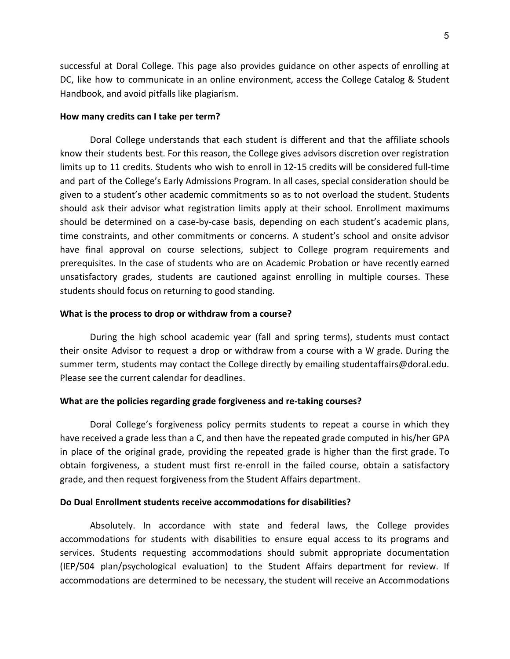successful at Doral College. This page also provides guidance on other aspects of enrolling at DC, like how to communicate in an online environment, access the College Catalog & Student Handbook, and avoid pitfalls like plagiarism.

#### **How many credits can I take per term?**

Doral College understands that each student is different and that the affiliate schools know their students best. For this reason, the College gives advisors discretion over registration limits up to 11 credits. Students who wish to enroll in 12-15 credits will be considered full-time and part of the College's Early Admissions Program. In all cases, special consideration should be given to a student's other academic commitments so as to not overload the student. Students should ask their advisor what registration limits apply at their school. Enrollment maximums should be determined on a case-by-case basis, depending on each student's academic plans, time constraints, and other commitments or concerns. A student's school and onsite advisor have final approval on course selections, subject to College program requirements and prerequisites. In the case of students who are on Academic Probation or have recently earned unsatisfactory grades, students are cautioned against enrolling in multiple courses. These students should focus on returning to good standing.

#### **What is the process to drop or withdraw from a course?**

During the high school academic year (fall and spring terms), students must contact their onsite Advisor to request a drop or withdraw from a course with a W grade. During the summer term, students may contact the College directly by emailing studentaffairs@doral.edu. Please see the current calendar for deadlines.

#### **What are the policies regarding grade forgiveness and re-taking courses?**

Doral College's forgiveness policy permits students to repeat a course in which they have received a grade less than a C, and then have the repeated grade computed in his/her GPA in place of the original grade, providing the repeated grade is higher than the first grade. To obtain forgiveness, a student must first re-enroll in the failed course, obtain a satisfactory grade, and then request forgiveness from the Student Affairs department.

#### **Do Dual Enrollment students receive accommodations for disabilities?**

Absolutely. In accordance with state and federal laws, the College provides accommodations for students with disabilities to ensure equal access to its programs and services. Students requesting accommodations should submit appropriate documentation (IEP/504 plan/psychological evaluation) to the Student Affairs department for review. If accommodations are determined to be necessary, the student will receive an Accommodations